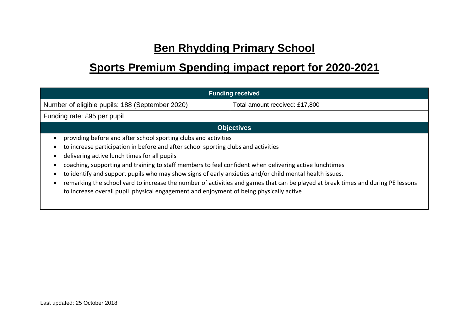## **Ben Rhydding Primary School**

## **Sports Premium Spending impact report for 2020-2021**

| <b>Funding received</b>                                                                                                                                                                                                                                                                                                                                                                                                                                                                                                                                                                                                                                  |                                |  |  |  |
|----------------------------------------------------------------------------------------------------------------------------------------------------------------------------------------------------------------------------------------------------------------------------------------------------------------------------------------------------------------------------------------------------------------------------------------------------------------------------------------------------------------------------------------------------------------------------------------------------------------------------------------------------------|--------------------------------|--|--|--|
| Number of eligible pupils: 188 (September 2020)                                                                                                                                                                                                                                                                                                                                                                                                                                                                                                                                                                                                          | Total amount received: £17,800 |  |  |  |
| Funding rate: £95 per pupil                                                                                                                                                                                                                                                                                                                                                                                                                                                                                                                                                                                                                              |                                |  |  |  |
| <b>Objectives</b>                                                                                                                                                                                                                                                                                                                                                                                                                                                                                                                                                                                                                                        |                                |  |  |  |
| providing before and after school sporting clubs and activities<br>to increase participation in before and after school sporting clubs and activities<br>delivering active lunch times for all pupils<br>coaching, supporting and training to staff members to feel confident when delivering active lunchtimes<br>to identify and support pupils who may show signs of early anxieties and/or child mental health issues.<br>remarking the school yard to increase the number of activities and games that can be played at break times and during PE lessons<br>to increase overall pupil physical engagement and enjoyment of being physically active |                                |  |  |  |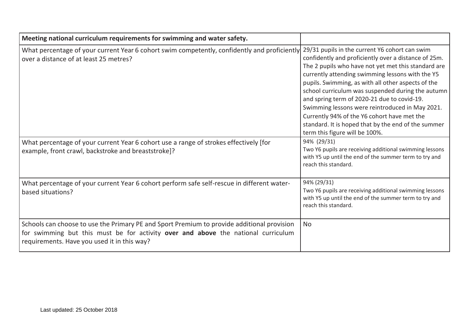| Meeting national curriculum requirements for swimming and water safety.                                                                                                                                                        |                                                                                                                                                                                                                                                                                                                                                                                                                                                                                                                                                                        |
|--------------------------------------------------------------------------------------------------------------------------------------------------------------------------------------------------------------------------------|------------------------------------------------------------------------------------------------------------------------------------------------------------------------------------------------------------------------------------------------------------------------------------------------------------------------------------------------------------------------------------------------------------------------------------------------------------------------------------------------------------------------------------------------------------------------|
| What percentage of your current Year 6 cohort swim competently, confidently and proficiently<br>over a distance of at least 25 metres?                                                                                         | 29/31 pupils in the current Y6 cohort can swim<br>confidently and proficiently over a distance of 25m.<br>The 2 pupils who have not yet met this standard are<br>currently attending swimming lessons with the Y5<br>pupils. Swimming, as with all other aspects of the<br>school curriculum was suspended during the autumn<br>and spring term of 2020-21 due to covid-19.<br>Swimming lessons were reintroduced in May 2021.<br>Currently 94% of the Y6 cohort have met the<br>standard. It is hoped that by the end of the summer<br>term this figure will be 100%. |
| What percentage of your current Year 6 cohort use a range of strokes effectively [for<br>example, front crawl, backstroke and breaststroke]?                                                                                   | 94% (29/31)<br>Two Y6 pupils are receiving additional swimming lessons<br>with Y5 up until the end of the summer term to try and<br>reach this standard.                                                                                                                                                                                                                                                                                                                                                                                                               |
| What percentage of your current Year 6 cohort perform safe self-rescue in different water-<br>based situations?                                                                                                                | 94% (29/31)<br>Two Y6 pupils are receiving additional swimming lessons<br>with Y5 up until the end of the summer term to try and<br>reach this standard.                                                                                                                                                                                                                                                                                                                                                                                                               |
| Schools can choose to use the Primary PE and Sport Premium to provide additional provision<br>for swimming but this must be for activity over and above the national curriculum<br>requirements. Have you used it in this way? | <b>No</b>                                                                                                                                                                                                                                                                                                                                                                                                                                                                                                                                                              |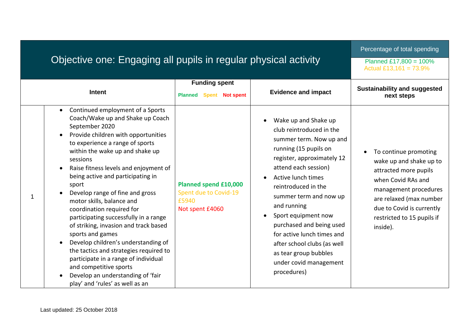## Objective one: Engaging all pupils in regular physical activity

Percentage of total spending

Planned £17,800 = 100% Actual £13,161 =  $73.9\%$ 

| <b>Intent</b>                                                                                                                                                                                                                                                                                                                                                                                                                                                                                                                                                                                                                                                                                                                                     | <b>Funding spent</b><br><b>Planned</b><br><b>Spent Not spent</b>           | <b>Evidence and impact</b>                                                                                                                                                                                                                                                                                                                                                                                                         | <b>Sustainability and suggested</b><br>next steps                                                                                                                                                                          |
|---------------------------------------------------------------------------------------------------------------------------------------------------------------------------------------------------------------------------------------------------------------------------------------------------------------------------------------------------------------------------------------------------------------------------------------------------------------------------------------------------------------------------------------------------------------------------------------------------------------------------------------------------------------------------------------------------------------------------------------------------|----------------------------------------------------------------------------|------------------------------------------------------------------------------------------------------------------------------------------------------------------------------------------------------------------------------------------------------------------------------------------------------------------------------------------------------------------------------------------------------------------------------------|----------------------------------------------------------------------------------------------------------------------------------------------------------------------------------------------------------------------------|
| Continued employment of a Sports<br>$\bullet$<br>Coach/Wake up and Shake up Coach<br>September 2020<br>Provide children with opportunities<br>to experience a range of sports<br>within the wake up and shake up<br>sessions<br>Raise fitness levels and enjoyment of<br>being active and participating in<br>sport<br>Develop range of fine and gross<br>motor skills, balance and<br>coordination required for<br>participating successfully in a range<br>of striking, invasion and track based<br>sports and games<br>Develop children's understanding of<br>the tactics and strategies required to<br>participate in a range of individual<br>and competitive sports<br>Develop an understanding of 'fair<br>play' and 'rules' as well as an | Planned spend £10,000<br>Spent due to Covid-19<br>£5940<br>Not spent £4060 | Wake up and Shake up<br>club reintroduced in the<br>summer term. Now up and<br>running (15 pupils on<br>register, approximately 12<br>attend each session)<br>Active lunch times<br>reintroduced in the<br>summer term and now up<br>and running<br>Sport equipment now<br>purchased and being used<br>for active lunch times and<br>after school clubs (as well<br>as tear group bubbles<br>under covid management<br>procedures) | To continue promoting<br>wake up and shake up to<br>attracted more pupils<br>when Covid RAs and<br>management procedures<br>are relaxed (max number<br>due to Covid is currently<br>restricted to 15 pupils if<br>inside). |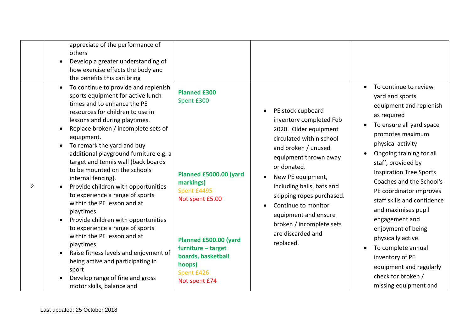|                | appreciate of the performance of<br>others<br>Develop a greater understanding of<br>$\bullet$<br>how exercise effects the body and<br>the benefits this can bring                                                                                                                                                                                                                                                                                                                                                                                                                                                                                                                                                                                                                                                                                                |                                                                                                                                                                                                                          |                                                                                                                                                                                                                                                                                                                                                              |                                                                                                                                                                                                                                                                                                                                                                                                                                                                                                                                           |
|----------------|------------------------------------------------------------------------------------------------------------------------------------------------------------------------------------------------------------------------------------------------------------------------------------------------------------------------------------------------------------------------------------------------------------------------------------------------------------------------------------------------------------------------------------------------------------------------------------------------------------------------------------------------------------------------------------------------------------------------------------------------------------------------------------------------------------------------------------------------------------------|--------------------------------------------------------------------------------------------------------------------------------------------------------------------------------------------------------------------------|--------------------------------------------------------------------------------------------------------------------------------------------------------------------------------------------------------------------------------------------------------------------------------------------------------------------------------------------------------------|-------------------------------------------------------------------------------------------------------------------------------------------------------------------------------------------------------------------------------------------------------------------------------------------------------------------------------------------------------------------------------------------------------------------------------------------------------------------------------------------------------------------------------------------|
| $\overline{2}$ | To continue to provide and replenish<br>$\bullet$<br>sports equipment for active lunch<br>times and to enhance the PE<br>resources for children to use in<br>lessons and during playtimes.<br>Replace broken / incomplete sets of<br>$\bullet$<br>equipment.<br>To remark the yard and buy<br>additional playground furniture e.g. a<br>target and tennis wall (back boards<br>to be mounted on the schools<br>internal fencing).<br>Provide children with opportunities<br>to experience a range of sports<br>within the PE lesson and at<br>playtimes.<br>Provide children with opportunities<br>$\bullet$<br>to experience a range of sports<br>within the PE lesson and at<br>playtimes.<br>Raise fitness levels and enjoyment of<br>$\bullet$<br>being active and participating in<br>sport<br>Develop range of fine and gross<br>motor skills, balance and | <b>Planned £300</b><br>Spent £300<br>Planned £5000.00 (yard<br>markings)<br>Spent £4495<br>Not spent £5.00<br>Planned £500.00 (yard<br>furniture - target<br>boards, basketball<br>hoops)<br>Spent £426<br>Not spent £74 | PE stock cupboard<br>inventory completed Feb<br>2020. Older equipment<br>circulated within school<br>and broken / unused<br>equipment thrown away<br>or donated.<br>New PE equipment,<br>including balls, bats and<br>skipping ropes purchased.<br>Continue to monitor<br>equipment and ensure<br>broken / incomplete sets<br>are discarded and<br>replaced. | To continue to review<br>yard and sports<br>equipment and replenish<br>as required<br>To ensure all yard space<br>promotes maximum<br>physical activity<br>Ongoing training for all<br>staff, provided by<br><b>Inspiration Tree Sports</b><br>Coaches and the School's<br>PE coordinator improves<br>staff skills and confidence<br>and maximises pupil<br>engagement and<br>enjoyment of being<br>physically active.<br>To complete annual<br>inventory of PE<br>equipment and regularly<br>check for broken /<br>missing equipment and |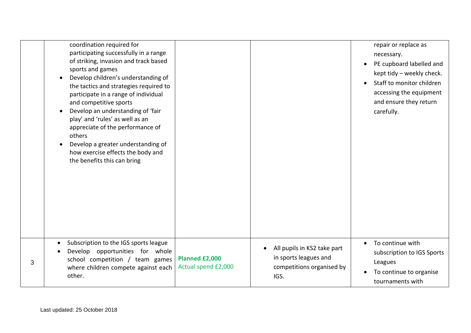|   | coordination required for<br>participating successfully in a range<br>of striking, invasion and track based<br>sports and games<br>Develop children's understanding of<br>the tactics and strategies required to<br>participate in a range of individual<br>and competitive sports<br>Develop an understanding of 'fair<br>play' and 'rules' as well as an<br>appreciate of the performance of<br>others<br>Develop a greater understanding of<br>how exercise effects the body and<br>the benefits this can bring |                                       |                                                                                           | repair or replace as<br>necessary.<br>PE cupboard labelled and<br>kept tidy - weekly check.<br>Staff to monitor children<br>accessing the equipment<br>and ensure they return<br>carefully. |
|---|--------------------------------------------------------------------------------------------------------------------------------------------------------------------------------------------------------------------------------------------------------------------------------------------------------------------------------------------------------------------------------------------------------------------------------------------------------------------------------------------------------------------|---------------------------------------|-------------------------------------------------------------------------------------------|---------------------------------------------------------------------------------------------------------------------------------------------------------------------------------------------|
| 3 | Subscription to the IGS sports league<br>$\bullet$<br>Develop opportunities for whole<br>school competition / team games<br>where children compete against each<br>other.                                                                                                                                                                                                                                                                                                                                          | Planned £2,000<br>Actual spend £2,000 | All pupils in KS2 take part<br>in sports leagues and<br>competitions organised by<br>IGS. | To continue with<br>subscription to IGS Sports<br>Leagues<br>To continue to organise<br>tournaments with                                                                                    |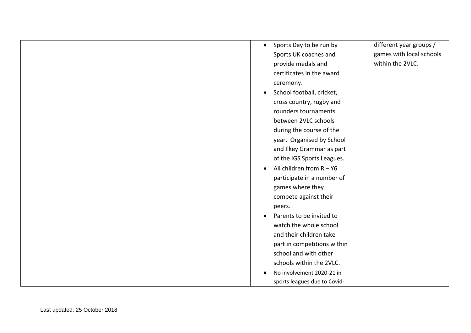| Sports Day to be run by<br>$\bullet$    | different year groups /  |
|-----------------------------------------|--------------------------|
| Sports UK coaches and                   | games with local schools |
| provide medals and                      | within the 2VLC.         |
| certificates in the award               |                          |
| ceremony.                               |                          |
| School football, cricket,<br>$\bullet$  |                          |
| cross country, rugby and                |                          |
| rounders tournaments                    |                          |
| between 2VLC schools                    |                          |
| during the course of the                |                          |
| year. Organised by School               |                          |
| and Ilkey Grammar as part               |                          |
| of the IGS Sports Leagues.              |                          |
| All children from $R - Y6$<br>$\bullet$ |                          |
| participate in a number of              |                          |
| games where they                        |                          |
| compete against their                   |                          |
| peers.                                  |                          |
| Parents to be invited to<br>$\bullet$   |                          |
| watch the whole school                  |                          |
| and their children take                 |                          |
| part in competitions within             |                          |
| school and with other                   |                          |
| schools within the 2VLC.                |                          |
| No involvement 2020-21 in               |                          |
| sports leagues due to Covid-            |                          |